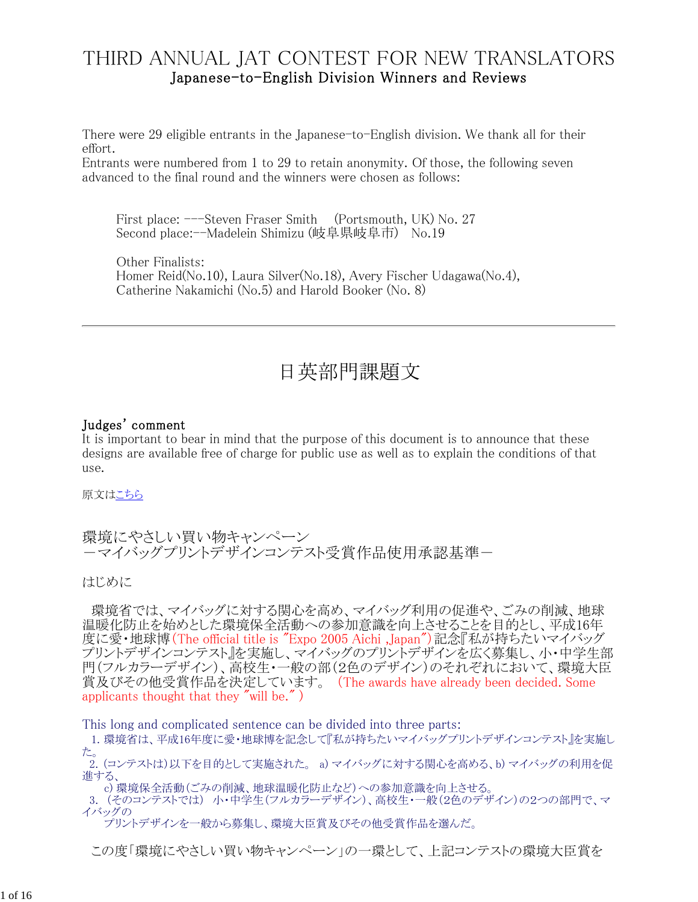# THIRD ANNUAL JAT CONTEST FOR NEW TRANSLATORS Japanese-to-English Division Winners and Reviews

There were 29 eligible entrants in the Japanese-to-English division. We thank all for their effort.

Entrants were numbered from 1 to 29 to retain anonymity. Of those, the following seven advanced to the final round and the winners were chosen as follows:

First place:  $--$ Steven Fraser Smith (Portsmouth, UK) No. 27 Second place:--Madelein Shimizu (岐阜県岐阜市) No.19

Other Finalists: Homer Reid(No.10), Laura Silver(No.18), Avery Fischer Udagawa(No.4), Catherine Nakamichi (No.5) and Harold Booker (No. 8)

# 日英部門課題文

#### Judges' comment

It is important to bear in mind that the purpose of this document is to announce that these designs are available free of charge for public use as well as to explain the conditions of that use.

原文はこちら

環境にやさしい買い物キャンペーン ーマイバッグプリントデザインコンテスト受賞作品使用承認基準ー

はじめに

環境省では、マイバッグに対する関心を高め、マイバッグ利用の促進や、ごみの削減、地球 温暖化防止を始めとした環境保全活動への参加意識を向上させることを目的とし、平成16年 度に愛・地球博(The official title is "Expo 2005 Aichi,Japan")記念『私が持ちたいマイバッグ プリントデザインコンテスト』を実施し、マイバッグのプリントデザインを広く募集し、小・中学生部 門(フルカラーデザイン)、高校生・一般の部(2色のデザイン)のそれぞれにおいて、環境大臣 賞及びその他受賞作品を決定しています。 (The awards have already been decided. Some applicants thought that they "will be." )

This long and complicated sentence can be divided into three parts:

1. 環境省は、平成16年度に愛・地球博を記念して『私が持ちたいマイバッグプリントデザインコンテスト』を実施し た。 2. (コンテストは)以下を目的として実施された。 a) マイバッグに対する関心を高める、b) マイバッグの利用を促

進する、 c) 環境保全活動(ごみの削減、地球温暖化防止など)への参加意識を向上させる。

3. (そのコンテストでは) 小・中学生(フルカラーデザイン)、高校生・一般(2色のデザイン)の2つの部門で、マ イバッグの

プリントデザインを一般から募集し、環境大臣賞及びその他受賞作品を選んだ。

この度「環境にやさしい買い物キャンペーン」の一環として、上記コンテストの環境大臣賞を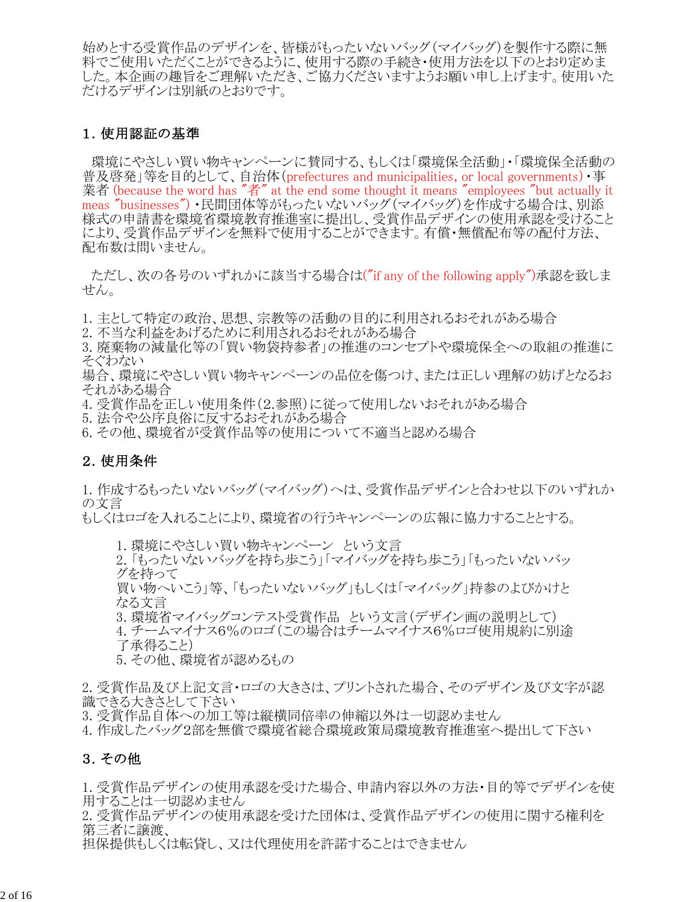始めとする受賞作品のデザインを、皆様がもったいないバッグ(マイバッグ)を製作する際に無 料でご使用いただくことができるように、使用する際の手続き・使用方法を以下のとおり定めま した。本企画の趣旨をご理解いただき、ご協力くださいますようお願い申し上げます。使用いた だけるデザインは別紙のとおりです。

#### 1.使用認証の基準

環境にやさしい買い物キャンペーンに賛同する、もしくは「環境保全活動」・「環境保全活動の 普及啓発」等を目的として、自治体(prefectures and municipalities, or local governments)·事 業者 (because the word has "者" at the end some thought it means "employees "but actually it meas "businesses") ・民間団体等がもったいないバッグ(マイバッグ)を作成する場合は、別添 様式の申請書を環境省環境教育推進室に提出し、受賞作品デザインの使用承認を受けること により、受賞作品デザインを無料で使用することができます。有償・無償配布等の配付方法、 配布数は問いません。

ただし、次の各号のいずれかに該当する場合は("if any of the following apply")承認を致しま せん。

- 1. 主として特定の政治、思想、宗教等の活動の目的に利用されるおそれがある場合
- 2. 不当な利益をあげるために利用されるおそれがある場合

3. 廃棄物の減量化等の「買い物袋持参者」の推進のコンセプトや環境保全への取組の推進に そぐわない

場合、環境にやさしい買い物キャンペーンの品位を傷つけ、または正しい理解の妨げとなるお それがある場合

- 4. 受賞作品を正しい使用条件(2.参照)に従って使用しないおそれがある場合
- 5. 法令や公序良俗に反するおそれがある場合
- 6. その他、環境省が受賞作品等の使用について不適当と認める場合

#### 2.使用条件

1. 作成するもったいないバッグ(マイバッグ)へは、受賞作品デザインと合わせ以下のいずれか の文言

もしくはロゴを入れることにより、環境省の行うキャンペーンの広報に協力することとする。

1. 環境にやさしい買い物キャンペーン という文言

2. 「もったいないバッグを持ち歩こう」「マイバッグを持ち歩こう」「もったいないバッ グを持って

買い物へいこう」等、「もったいないバッグ」もしくは「マイバッグ」持参のよびかけと なる文言

3. 環境省マイバッグコンテスト受賞作品 という文言(デザイン画の説明として)

4. チームマイナス6%のロゴ(この場合はチームマイナス6%ロゴ使用規約に別途 了承得ること)

5. その他、環境省が認めるもの

2. 受賞作品及び上記文言・ロゴの大きさは、プリントされた場合、そのデザイン及び文字が認 識できる大きさとして下さい

3. 受賞作品自体への加工等は縦横同倍率の伸縮以外は一切認めません

4. 作成したバッグ2部を無償で環境省総合環境政策局環境教育推進室へ提出して下さい

#### 3.その他

1. 受賞作品デザインの使用承認を受けた場合、申請内容以外の方法・目的等でデザインを使 用することは一切認めません

2. 受賞作品デザインの使用承認を受けた団体は、受賞作品デザインの使用に関する権利を 第三者に譲渡、

担保提供もしくは転貸し、又は代理使用を許諾することはできません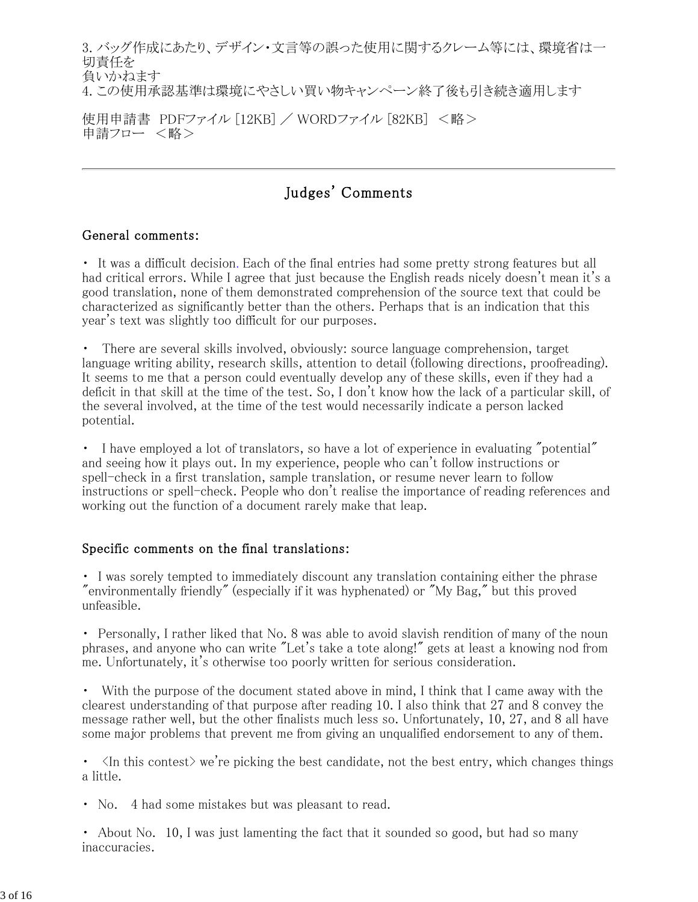3. バッグ作成にあたり、デザイン・文言等の誤った使用に関するクレーム等には、環境省は一 切責任を 負いかねます 4. この使用承認基準は環境にやさしい買い物キャンペーン終了後も引き続き適用します

使用申請書 PDFファイル [12KB] / WORDファイル [82KB] <略> 申請フロー <略>

# Judges' Comments

#### General comments:

・ It was a difficult decision. Each of the final entries had some pretty strong features but all had critical errors. While I agree that just because the English reads nicely doesn't mean it's a good translation, none of them demonstrated comprehension of the source text that could be characterized as significantly better than the others. Perhaps that is an indication that this year's text was slightly too difficult for our purposes.

・ There are several skills involved, obviously: source language comprehension, target language writing ability, research skills, attention to detail (following directions, proofreading). It seems to me that a person could eventually develop any of these skills, even if they had a deficit in that skill at the time of the test. So, I don't know how the lack of a particular skill, of the several involved, at the time of the test would necessarily indicate a person lacked potential.

• I have employed a lot of translators, so have a lot of experience in evaluating "potential" and seeing how it plays out. In my experience, people who can't follow instructions or spell-check in a first translation, sample translation, or resume never learn to follow instructions or spell-check. People who don't realise the importance of reading references and working out the function of a document rarely make that leap.

#### Specific comments on the final translations:

・ I was sorely tempted to immediately discount any translation containing either the phrase "environmentally friendly" (especially if it was hyphenated) or "My Bag," but this proved unfeasible.

• Personally, I rather liked that No. 8 was able to avoid slavish rendition of many of the noun phrases, and anyone who can write "Let's take a tote along!" gets at least a knowing nod from me. Unfortunately, it's otherwise too poorly written for serious consideration.

・ With the purpose of the document stated above in mind, I think that I came away with the clearest understanding of that purpose after reading 10. I also think that 27 and 8 convey the message rather well, but the other finalists much less so. Unfortunately, 10, 27, and 8 all have some major problems that prevent me from giving an unqualified endorsement to any of them.

 $\cdot$   $\langle$ In this contest $\rangle$  we're picking the best candidate, not the best entry, which changes things a little.

• No. 4 had some mistakes but was pleasant to read.

• About No. 10, I was just lamenting the fact that it sounded so good, but had so many inaccuracies.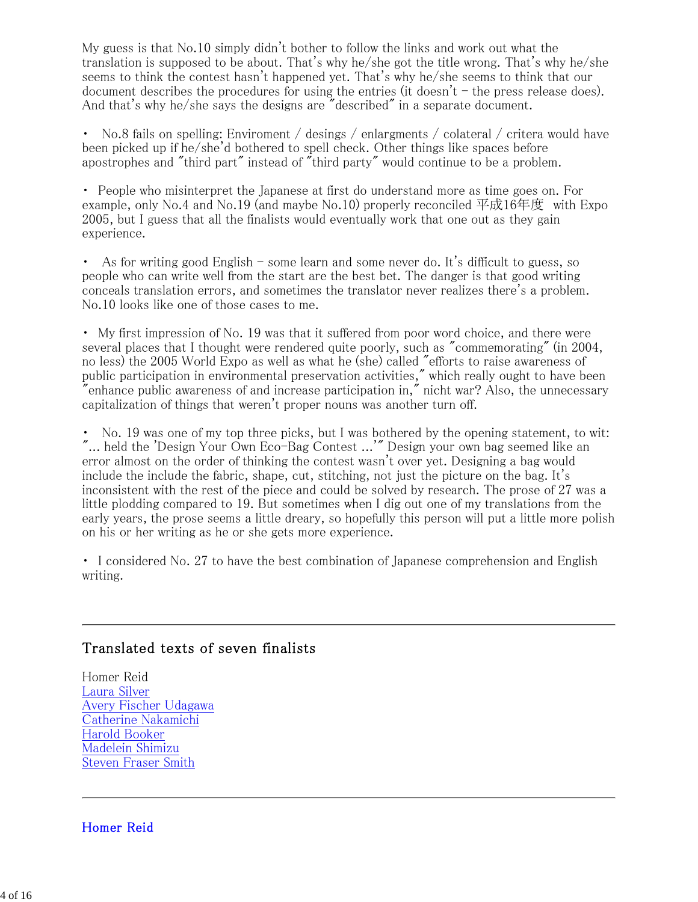My guess is that No.10 simply didn't bother to follow the links and work out what the translation is supposed to be about. That's why he/she got the title wrong. That's why he/she seems to think the contest hasn't happened yet. That's why he/she seems to think that our document describes the procedures for using the entries (it doesn't  $-$  the press release does). And that's why he/she says the designs are "described" in a separate document.

No.8 fails on spelling: Enviroment / desings / enlargments / colateral / critera would have been picked up if he/she'd bothered to spell check. Other things like spaces before apostrophes and "third part" instead of "third party" would continue to be a problem.

・ People who misinterpret the Japanese at first do understand more as time goes on. For example, only No.4 and No.19 (and maybe No.10) properly reconciled  $\overline{\text{F}}$ 成16年度 with Expo 2005, but I guess that all the finalists would eventually work that one out as they gain experience.

・ As for writing good English - some learn and some never do. It's difficult to guess, so people who can write well from the start are the best bet. The danger is that good writing conceals translation errors, and sometimes the translator never realizes there's a problem. No.10 looks like one of those cases to me.

・ My first impression of No. 19 was that it suffered from poor word choice, and there were several places that I thought were rendered quite poorly, such as "commemorating" (in 2004, no less) the 2005 World Expo as well as what he (she) called "efforts to raise awareness of public participation in environmental preservation activities," which really ought to have been enhance public awareness of and increase participation in," nicht war? Also, the unnecessary capitalization of things that weren't proper nouns was another turn off.

・ No. 19 was one of my top three picks, but I was bothered by the opening statement, to wit: "... held the 'Design Your Own Eco-Bag Contest ...'" Design your own bag seemed like an error almost on the order of thinking the contest wasn't over yet. Designing a bag would include the include the fabric, shape, cut, stitching, not just the picture on the bag. It's inconsistent with the rest of the piece and could be solved by research. The prose of 27 was a little plodding compared to 19. But sometimes when I dig out one of my translations from the early years, the prose seems a little dreary, so hopefully this person will put a little more polish on his or her writing as he or she gets more experience.

・ I considered No. 27 to have the best combination of Japanese comprehension and English writing.

### Translated texts of seven finalists

Homer Reid Laura Silver Avery Fischer Udagawa Catherine Nakamichi Harold Booker Madelein Shimizu Steven Fraser Smith

Homer Reid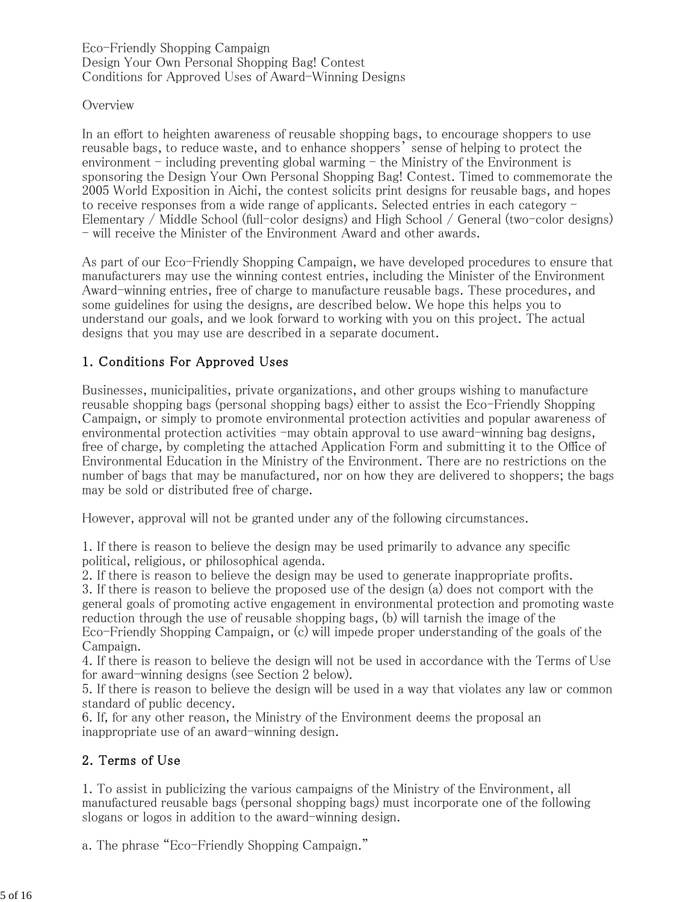Eco-Friendly Shopping Campaign Design Your Own Personal Shopping Bag! Contest Conditions for Approved Uses of Award-Winning Designs

#### **Overview**

In an effort to heighten awareness of reusable shopping bags, to encourage shoppers to use reusable bags, to reduce waste, and to enhance shoppers' sense of helping to protect the environment  $-$  including preventing global warming  $-$  the Ministry of the Environment is sponsoring the Design Your Own Personal Shopping Bag! Contest. Timed to commemorate the 2005 World Exposition in Aichi, the contest solicits print designs for reusable bags, and hopes to receive responses from a wide range of applicants. Selected entries in each category -Elementary / Middle School (full-color designs) and High School / General (two-color designs) - will receive the Minister of the Environment Award and other awards.

As part of our Eco-Friendly Shopping Campaign, we have developed procedures to ensure that manufacturers may use the winning contest entries, including the Minister of the Environment Award-winning entries, free of charge to manufacture reusable bags. These procedures, and some guidelines for using the designs, are described below. We hope this helps you to understand our goals, and we look forward to working with you on this project. The actual designs that you may use are described in a separate document.

### 1. Conditions For Approved Uses

Businesses, municipalities, private organizations, and other groups wishing to manufacture reusable shopping bags (personal shopping bags) either to assist the Eco-Friendly Shopping Campaign, or simply to promote environmental protection activities and popular awareness of environmental protection activities  $-may$  obtain approval to use award-winning bag designs, free of charge, by completing the attached Application Form and submitting it to the Office of Environmental Education in the Ministry of the Environment. There are no restrictions on the number of bags that may be manufactured, nor on how they are delivered to shoppers; the bags may be sold or distributed free of charge.

However, approval will not be granted under any of the following circumstances.

1. If there is reason to believe the design may be used primarily to advance any specific political, religious, or philosophical agenda.

2. If there is reason to believe the design may be used to generate inappropriate profits.

3. If there is reason to believe the proposed use of the design (a) does not comport with the general goals of promoting active engagement in environmental protection and promoting waste reduction through the use of reusable shopping bags, (b) will tarnish the image of the Eco-Friendly Shopping Campaign, or (c) will impede proper understanding of the goals of the Campaign.

4. If there is reason to believe the design will not be used in accordance with the Terms of Use for award-winning designs (see Section 2 below).

5. If there is reason to believe the design will be used in a way that violates any law or common standard of public decency.

6. If, for any other reason, the Ministry of the Environment deems the proposal an inappropriate use of an award-winning design.

#### 2. Terms of Use

1. To assist in publicizing the various campaigns of the Ministry of the Environment, all manufactured reusable bags (personal shopping bags) must incorporate one of the following slogans or logos in addition to the award-winning design.

a. The phrase "Eco-Friendly Shopping Campaign."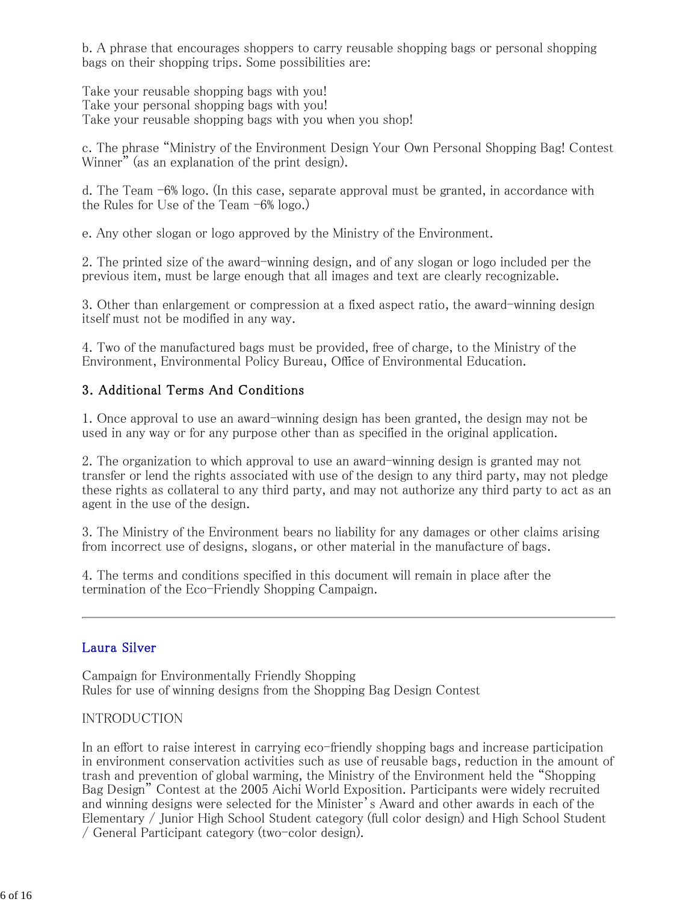b. A phrase that encourages shoppers to carry reusable shopping bags or personal shopping bags on their shopping trips. Some possibilities are:

Take your reusable shopping bags with you! Take your personal shopping bags with you! Take your reusable shopping bags with you when you shop!

c. The phrase "Ministry of the Environment Design Your Own Personal Shopping Bag! Contest Winner" (as an explanation of the print design).

d. The Team -6% logo. (In this case, separate approval must be granted, in accordance with the Rules for Use of the Team -6% logo.)

e. Any other slogan or logo approved by the Ministry of the Environment.

2. The printed size of the award-winning design, and of any slogan or logo included per the previous item, must be large enough that all images and text are clearly recognizable.

3. Other than enlargement or compression at a fixed aspect ratio, the award-winning design itself must not be modified in any way.

4. Two of the manufactured bags must be provided, free of charge, to the Ministry of the Environment, Environmental Policy Bureau, Office of Environmental Education.

### 3. Additional Terms And Conditions

1. Once approval to use an award-winning design has been granted, the design may not be used in any way or for any purpose other than as specified in the original application.

2. The organization to which approval to use an award-winning design is granted may not transfer or lend the rights associated with use of the design to any third party, may not pledge these rights as collateral to any third party, and may not authorize any third party to act as an agent in the use of the design.

3. The Ministry of the Environment bears no liability for any damages or other claims arising from incorrect use of designs, slogans, or other material in the manufacture of bags.

4. The terms and conditions specified in this document will remain in place after the termination of the Eco-Friendly Shopping Campaign.

#### Laura Silver

Campaign for Environmentally Friendly Shopping Rules for use of winning designs from the Shopping Bag Design Contest

#### INTRODUCTION

In an effort to raise interest in carrying eco-friendly shopping bags and increase participation in environment conservation activities such as use of reusable bags, reduction in the amount of trash and prevention of global warming, the Ministry of the Environment held the "Shopping Bag Design" Contest at the 2005 Aichi World Exposition. Participants were widely recruited and winning designs were selected for the Minister's Award and other awards in each of the Elementary / Junior High School Student category (full color design) and High School Student / General Participant category (two-color design).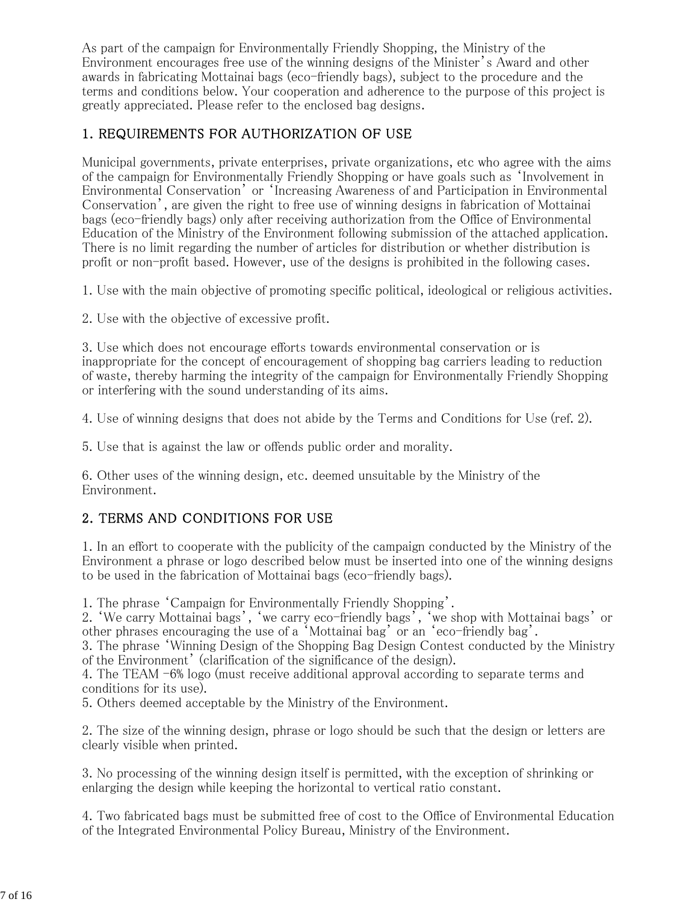As part of the campaign for Environmentally Friendly Shopping, the Ministry of the Environment encourages free use of the winning designs of the Minister's Award and other awards in fabricating Mottainai bags (eco-friendly bags), subject to the procedure and the terms and conditions below. Your cooperation and adherence to the purpose of this project is greatly appreciated. Please refer to the enclosed bag designs.

### 1. REQUIREMENTS FOR AUTHORIZATION OF USE

Municipal governments, private enterprises, private organizations, etc who agree with the aims of the campaign for Environmentally Friendly Shopping or have goals such as 'Involvement in Environmental Conservation' or 'Increasing Awareness of and Participation in Environmental Conservation', are given the right to free use of winning designs in fabrication of Mottainai bags (eco-friendly bags) only after receiving authorization from the Office of Environmental Education of the Ministry of the Environment following submission of the attached application. There is no limit regarding the number of articles for distribution or whether distribution is profit or non-profit based. However, use of the designs is prohibited in the following cases.

1. Use with the main objective of promoting specific political, ideological or religious activities.

2. Use with the objective of excessive profit.

3. Use which does not encourage efforts towards environmental conservation or is inappropriate for the concept of encouragement of shopping bag carriers leading to reduction of waste, thereby harming the integrity of the campaign for Environmentally Friendly Shopping or interfering with the sound understanding of its aims.

4. Use of winning designs that does not abide by the Terms and Conditions for Use (ref. 2).

5. Use that is against the law or offends public order and morality.

6. Other uses of the winning design, etc. deemed unsuitable by the Ministry of the Environment.

### 2. TERMS AND CONDITIONS FOR USE

1. In an effort to cooperate with the publicity of the campaign conducted by the Ministry of the Environment a phrase or logo described below must be inserted into one of the winning designs to be used in the fabrication of Mottainai bags (eco-friendly bags).

1. The phrase 'Campaign for Environmentally Friendly Shopping'.

2. 'We carry Mottainai bags', 'we carry eco-friendly bags', 'we shop with Mottainai bags' or other phrases encouraging the use of a 'Mottainai bag' or an 'eco-friendly bag'.

3. The phrase 'Winning Design of the Shopping Bag Design Contest conducted by the Ministry of the Environment' (clarification of the significance of the design).

4. The TEAM -6% logo (must receive additional approval according to separate terms and conditions for its use).

5. Others deemed acceptable by the Ministry of the Environment.

2. The size of the winning design, phrase or logo should be such that the design or letters are clearly visible when printed.

3. No processing of the winning design itself is permitted, with the exception of shrinking or enlarging the design while keeping the horizontal to vertical ratio constant.

4. Two fabricated bags must be submitted free of cost to the Office of Environmental Education of the Integrated Environmental Policy Bureau, Ministry of the Environment.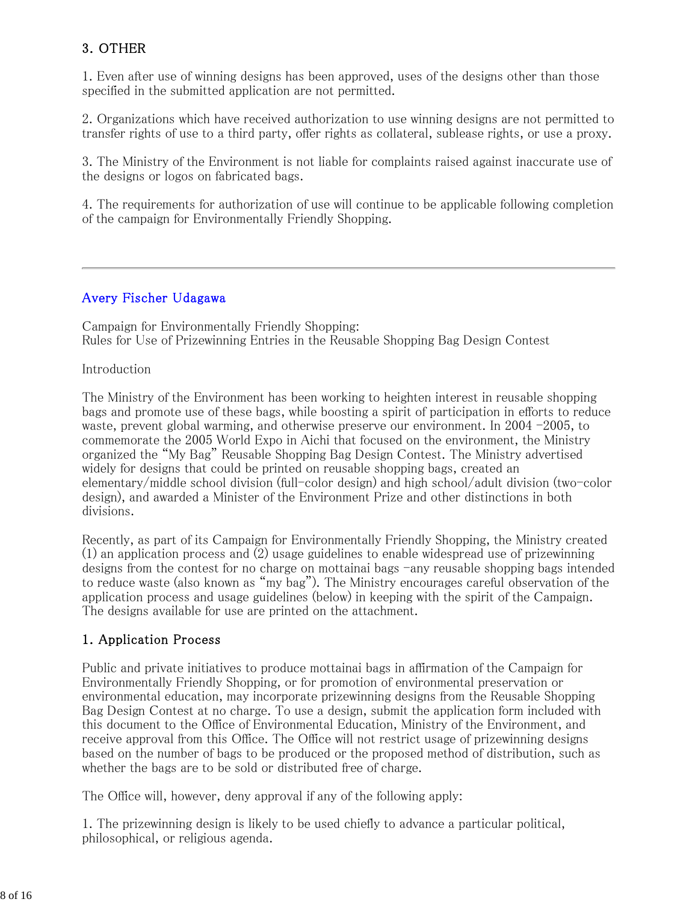### 3. OTHER

1. Even after use of winning designs has been approved, uses of the designs other than those specified in the submitted application are not permitted.

2. Organizations which have received authorization to use winning designs are not permitted to transfer rights of use to a third party, offer rights as collateral, sublease rights, or use a proxy.

3. The Ministry of the Environment is not liable for complaints raised against inaccurate use of the designs or logos on fabricated bags.

4. The requirements for authorization of use will continue to be applicable following completion of the campaign for Environmentally Friendly Shopping.

#### Avery Fischer Udagawa

Campaign for Environmentally Friendly Shopping: Rules for Use of Prizewinning Entries in the Reusable Shopping Bag Design Contest

#### Introduction

The Ministry of the Environment has been working to heighten interest in reusable shopping bags and promote use of these bags, while boosting a spirit of participation in efforts to reduce waste, prevent global warming, and otherwise preserve our environment. In 2004  $-2005$ , to commemorate the 2005 World Expo in Aichi that focused on the environment, the Ministry organized the "My Bag" Reusable Shopping Bag Design Contest. The Ministry advertised widely for designs that could be printed on reusable shopping bags, created an elementary/middle school division (full-color design) and high school/adult division (two-color design), and awarded a Minister of the Environment Prize and other distinctions in both divisions.

Recently, as part of its Campaign for Environmentally Friendly Shopping, the Ministry created (1) an application process and (2) usage guidelines to enable widespread use of prizewinning designs from the contest for no charge on mottainai bags -any reusable shopping bags intended to reduce waste (also known as "my bag"). The Ministry encourages careful observation of the application process and usage guidelines (below) in keeping with the spirit of the Campaign. The designs available for use are printed on the attachment.

#### 1. Application Process

Public and private initiatives to produce mottainai bags in affirmation of the Campaign for Environmentally Friendly Shopping, or for promotion of environmental preservation or environmental education, may incorporate prizewinning designs from the Reusable Shopping Bag Design Contest at no charge. To use a design, submit the application form included with this document to the Office of Environmental Education, Ministry of the Environment, and receive approval from this Office. The Office will not restrict usage of prizewinning designs based on the number of bags to be produced or the proposed method of distribution, such as whether the bags are to be sold or distributed free of charge.

The Office will, however, deny approval if any of the following apply:

1. The prizewinning design is likely to be used chiefly to advance a particular political, philosophical, or religious agenda.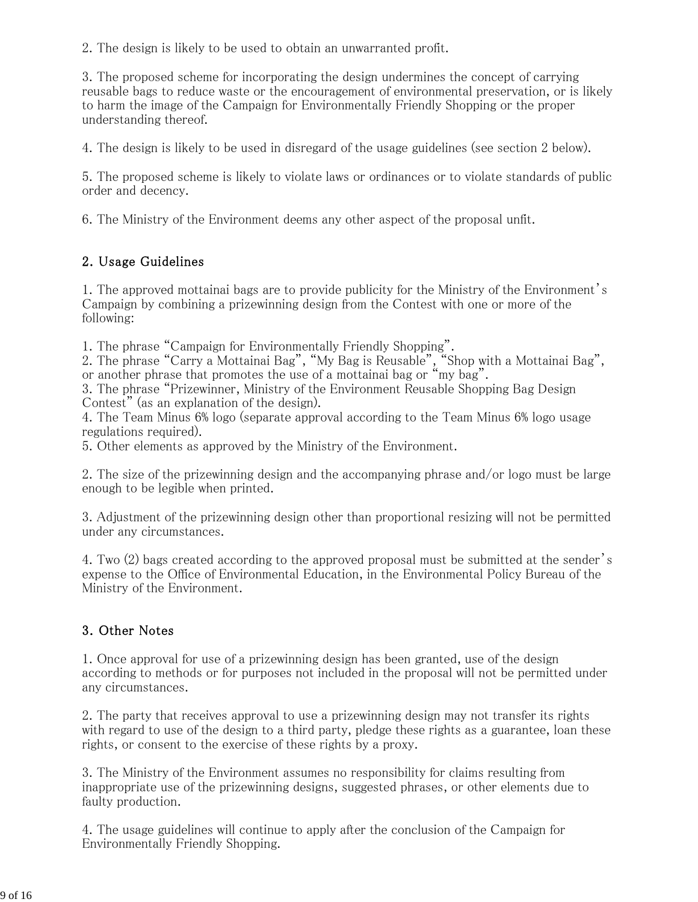2. The design is likely to be used to obtain an unwarranted profit.

3. The proposed scheme for incorporating the design undermines the concept of carrying reusable bags to reduce waste or the encouragement of environmental preservation, or is likely to harm the image of the Campaign for Environmentally Friendly Shopping or the proper understanding thereof.

4. The design is likely to be used in disregard of the usage guidelines (see section 2 below).

5. The proposed scheme is likely to violate laws or ordinances or to violate standards of public order and decency.

6. The Ministry of the Environment deems any other aspect of the proposal unfit.

### 2. Usage Guidelines

1. The approved mottainai bags are to provide publicity for the Ministry of the Environment's Campaign by combining a prizewinning design from the Contest with one or more of the following:

1. The phrase "Campaign for Environmentally Friendly Shopping".

2. The phrase "Carry a Mottainai Bag", "My Bag is Reusable", "Shop with a Mottainai Bag", or another phrase that promotes the use of a mottainai bag or "my bag".

3. The phrase "Prizewinner, Ministry of the Environment Reusable Shopping Bag Design Contest" (as an explanation of the design).

4. The Team Minus 6% logo (separate approval according to the Team Minus 6% logo usage regulations required).

5. Other elements as approved by the Ministry of the Environment.

2. The size of the prizewinning design and the accompanying phrase and/or logo must be large enough to be legible when printed.

3. Adjustment of the prizewinning design other than proportional resizing will not be permitted under any circumstances.

4. Two (2) bags created according to the approved proposal must be submitted at the sender's expense to the Office of Environmental Education, in the Environmental Policy Bureau of the Ministry of the Environment.

### 3. Other Notes

1. Once approval for use of a prizewinning design has been granted, use of the design according to methods or for purposes not included in the proposal will not be permitted under any circumstances.

2. The party that receives approval to use a prizewinning design may not transfer its rights with regard to use of the design to a third party, pledge these rights as a guarantee, loan these rights, or consent to the exercise of these rights by a proxy.

3. The Ministry of the Environment assumes no responsibility for claims resulting from inappropriate use of the prizewinning designs, suggested phrases, or other elements due to faulty production.

4. The usage guidelines will continue to apply after the conclusion of the Campaign for Environmentally Friendly Shopping.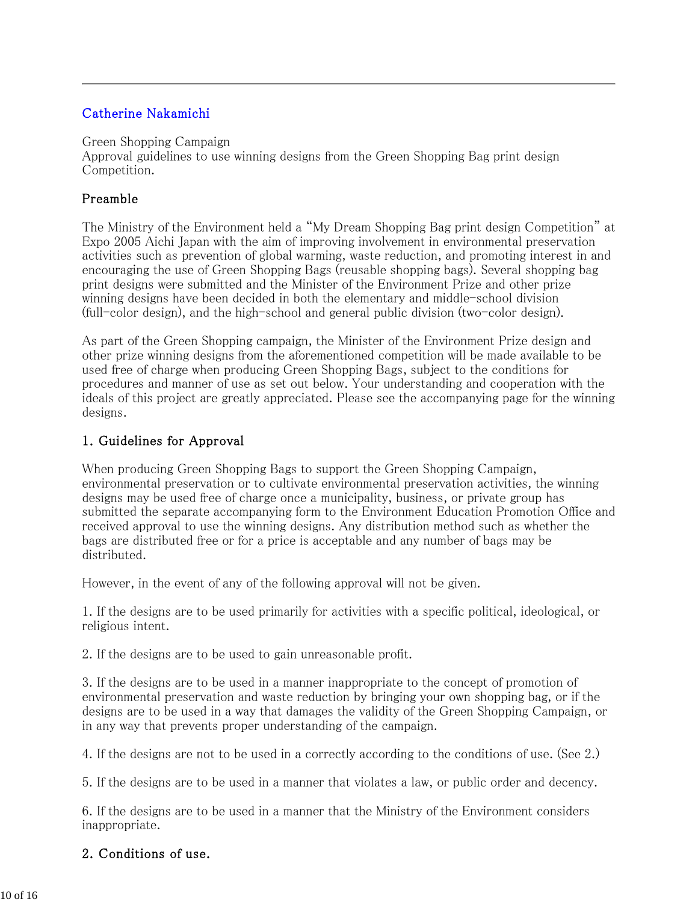### Catherine Nakamichi

Green Shopping Campaign

Approval guidelines to use winning designs from the Green Shopping Bag print design Competition.

#### Preamble

The Ministry of the Environment held a "My Dream Shopping Bag print design Competition" at Expo 2005 Aichi Japan with the aim of improving involvement in environmental preservation activities such as prevention of global warming, waste reduction, and promoting interest in and encouraging the use of Green Shopping Bags (reusable shopping bags). Several shopping bag print designs were submitted and the Minister of the Environment Prize and other prize winning designs have been decided in both the elementary and middle-school division (full-color design), and the high-school and general public division (two-color design).

As part of the Green Shopping campaign, the Minister of the Environment Prize design and other prize winning designs from the aforementioned competition will be made available to be used free of charge when producing Green Shopping Bags, subject to the conditions for procedures and manner of use as set out below. Your understanding and cooperation with the ideals of this project are greatly appreciated. Please see the accompanying page for the winning designs.

#### 1. Guidelines for Approval

When producing Green Shopping Bags to support the Green Shopping Campaign, environmental preservation or to cultivate environmental preservation activities, the winning designs may be used free of charge once a municipality, business, or private group has submitted the separate accompanying form to the Environment Education Promotion Office and received approval to use the winning designs. Any distribution method such as whether the bags are distributed free or for a price is acceptable and any number of bags may be distributed.

However, in the event of any of the following approval will not be given.

1. If the designs are to be used primarily for activities with a specific political, ideological, or religious intent.

2. If the designs are to be used to gain unreasonable profit.

3. If the designs are to be used in a manner inappropriate to the concept of promotion of environmental preservation and waste reduction by bringing your own shopping bag, or if the designs are to be used in a way that damages the validity of the Green Shopping Campaign, or in any way that prevents proper understanding of the campaign.

4. If the designs are not to be used in a correctly according to the conditions of use. (See 2.)

5. If the designs are to be used in a manner that violates a law, or public order and decency.

6. If the designs are to be used in a manner that the Ministry of the Environment considers inappropriate.

#### 2. Conditions of use.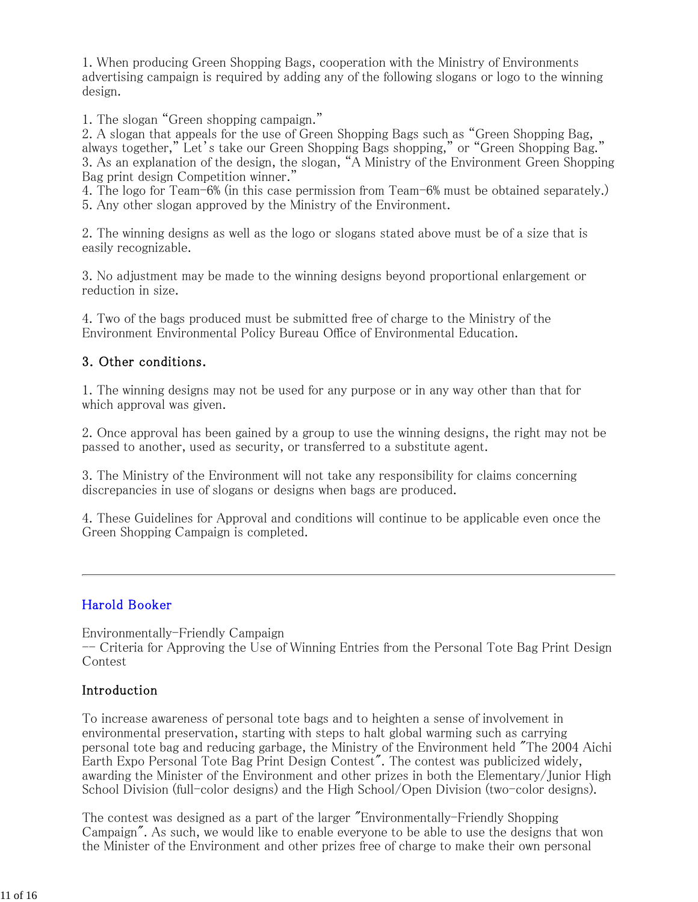1. When producing Green Shopping Bags, cooperation with the Ministry of Environments advertising campaign is required by adding any of the following slogans or logo to the winning design.

1. The slogan "Green shopping campaign."

2. A slogan that appeals for the use of Green Shopping Bags such as "Green Shopping Bag, always together," Let's take our Green Shopping Bags shopping," or "Green Shopping Bag." 3. As an explanation of the design, the slogan, "A Ministry of the Environment Green Shopping Bag print design Competition winner."

4. The logo for Team-6% (in this case permission from Team-6% must be obtained separately.) 5. Any other slogan approved by the Ministry of the Environment.

2. The winning designs as well as the logo or slogans stated above must be of a size that is easily recognizable.

3. No adjustment may be made to the winning designs beyond proportional enlargement or reduction in size.

4. Two of the bags produced must be submitted free of charge to the Ministry of the Environment Environmental Policy Bureau Office of Environmental Education.

#### 3. Other conditions.

1. The winning designs may not be used for any purpose or in any way other than that for which approval was given.

2. Once approval has been gained by a group to use the winning designs, the right may not be passed to another, used as security, or transferred to a substitute agent.

3. The Ministry of the Environment will not take any responsibility for claims concerning discrepancies in use of slogans or designs when bags are produced.

4. These Guidelines for Approval and conditions will continue to be applicable even once the Green Shopping Campaign is completed.

#### Harold Booker

Environmentally-Friendly Campaign

-- Criteria for Approving the Use of Winning Entries from the Personal Tote Bag Print Design Contest

#### Introduction

To increase awareness of personal tote bags and to heighten a sense of involvement in environmental preservation, starting with steps to halt global warming such as carrying personal tote bag and reducing garbage, the Ministry of the Environment held "The 2004 Aichi Earth Expo Personal Tote Bag Print Design Contest". The contest was publicized widely, awarding the Minister of the Environment and other prizes in both the Elementary/Junior High School Division (full-color designs) and the High School/Open Division (two-color designs).

The contest was designed as a part of the larger "Environmentally-Friendly Shopping Campaign". As such, we would like to enable everyone to be able to use the designs that won the Minister of the Environment and other prizes free of charge to make their own personal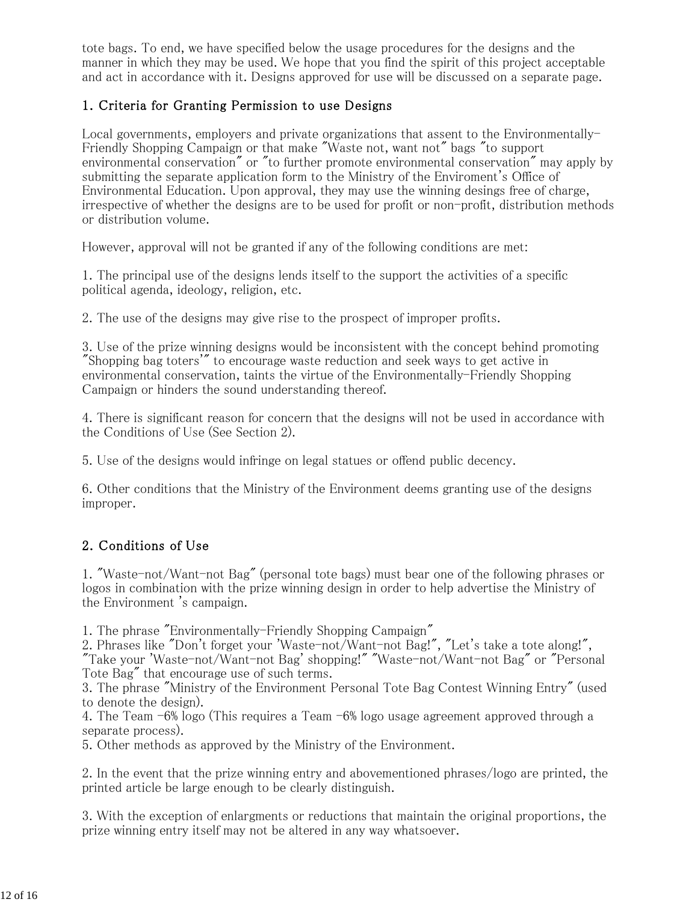tote bags. To end, we have specified below the usage procedures for the designs and the manner in which they may be used. We hope that you find the spirit of this project acceptable and act in accordance with it. Designs approved for use will be discussed on a separate page.

### 1. Criteria for Granting Permission to use Designs

Local governments, employers and private organizations that assent to the Environmentally-Friendly Shopping Campaign or that make "Waste not, want not" bags "to support environmental conservation" or "to further promote environmental conservation" may apply by submitting the separate application form to the Ministry of the Enviroment's Office of Environmental Education. Upon approval, they may use the winning desings free of charge, irrespective of whether the designs are to be used for profit or non-profit, distribution methods or distribution volume.

However, approval will not be granted if any of the following conditions are met:

1. The principal use of the designs lends itself to the support the activities of a specific political agenda, ideology, religion, etc.

2. The use of the designs may give rise to the prospect of improper profits.

3. Use of the prize winning designs would be inconsistent with the concept behind promoting "Shopping bag toters'" to encourage waste reduction and seek ways to get active in environmental conservation, taints the virtue of the Environmentally-Friendly Shopping Campaign or hinders the sound understanding thereof.

4. There is significant reason for concern that the designs will not be used in accordance with the Conditions of Use (See Section 2).

5. Use of the designs would infringe on legal statues or offend public decency.

6. Other conditions that the Ministry of the Environment deems granting use of the designs improper.

### 2. Conditions of Use

1. "Waste-not/Want-not Bag" (personal tote bags) must bear one of the following phrases or logos in combination with the prize winning design in order to help advertise the Ministry of the Environment 's campaign.

1. The phrase "Environmentally-Friendly Shopping Campaign"

2. Phrases like "Don't forget your 'Waste-not/Want-not Bag!", "Let's take a tote along!",

"Take your 'Waste-not/Want-not Bag' shopping!" "Waste-not/Want-not Bag" or "Personal Tote Bag" that encourage use of such terms.

3. The phrase "Ministry of the Environment Personal Tote Bag Contest Winning Entry" (used to denote the design).

4. The Team -6% logo (This requires a Team -6% logo usage agreement approved through a separate process).

5. Other methods as approved by the Ministry of the Environment.

2. In the event that the prize winning entry and abovementioned phrases/logo are printed, the printed article be large enough to be clearly distinguish.

3. With the exception of enlargments or reductions that maintain the original proportions, the prize winning entry itself may not be altered in any way whatsoever.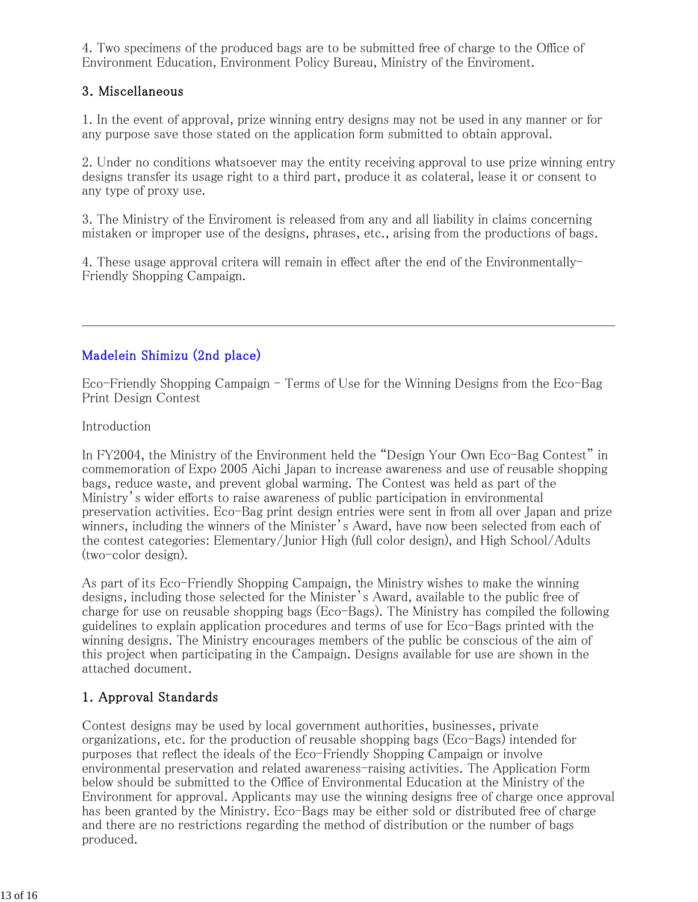4. Two specimens of the produced bags are to be submitted free of charge to the Office of Environment Education, Environment Policy Bureau, Ministry of the Enviroment.

### 3. Miscellaneous

1. In the event of approval, prize winning entry designs may not be used in any manner or for any purpose save those stated on the application form submitted to obtain approval.

2. Under no conditions whatsoever may the entity receiving approval to use prize winning entry designs transfer its usage right to a third part, produce it as colateral, lease it or consent to any type of proxy use.

3. The Ministry of the Enviroment is released from any and all liability in claims concerning mistaken or improper use of the designs, phrases, etc., arising from the productions of bags.

4. These usage approval critera will remain in effect after the end of the Environmentally-Friendly Shopping Campaign.

### Madelein Shimizu (2nd place)

Eco-Friendly Shopping Campaign - Terms of Use for the Winning Designs from the Eco-Bag Print Design Contest

Introduction

In FY2004, the Ministry of the Environment held the "Design Your Own Eco-Bag Contest" in commemoration of Expo 2005 Aichi Japan to increase awareness and use of reusable shopping bags, reduce waste, and prevent global warming. The Contest was held as part of the Ministry's wider efforts to raise awareness of public participation in environmental preservation activities. Eco-Bag print design entries were sent in from all over Japan and prize winners, including the winners of the Minister's Award, have now been selected from each of the contest categories: Elementary/Junior High (full color design), and High School/Adults (two-color design).

As part of its Eco-Friendly Shopping Campaign, the Ministry wishes to make the winning designs, including those selected for the Minister's Award, available to the public free of charge for use on reusable shopping bags (Eco-Bags). The Ministry has compiled the following guidelines to explain application procedures and terms of use for Eco-Bags printed with the winning designs. The Ministry encourages members of the public be conscious of the aim of this project when participating in the Campaign. Designs available for use are shown in the attached document.

### 1. Approval Standards

Contest designs may be used by local government authorities, businesses, private organizations, etc. for the production of reusable shopping bags (Eco-Bags) intended for purposes that reflect the ideals of the Eco-Friendly Shopping Campaign or involve environmental preservation and related awareness-raising activities. The Application Form below should be submitted to the Office of Environmental Education at the Ministry of the Environment for approval. Applicants may use the winning designs free of charge once approval has been granted by the Ministry. Eco-Bags may be either sold or distributed free of charge and there are no restrictions regarding the method of distribution or the number of bags produced.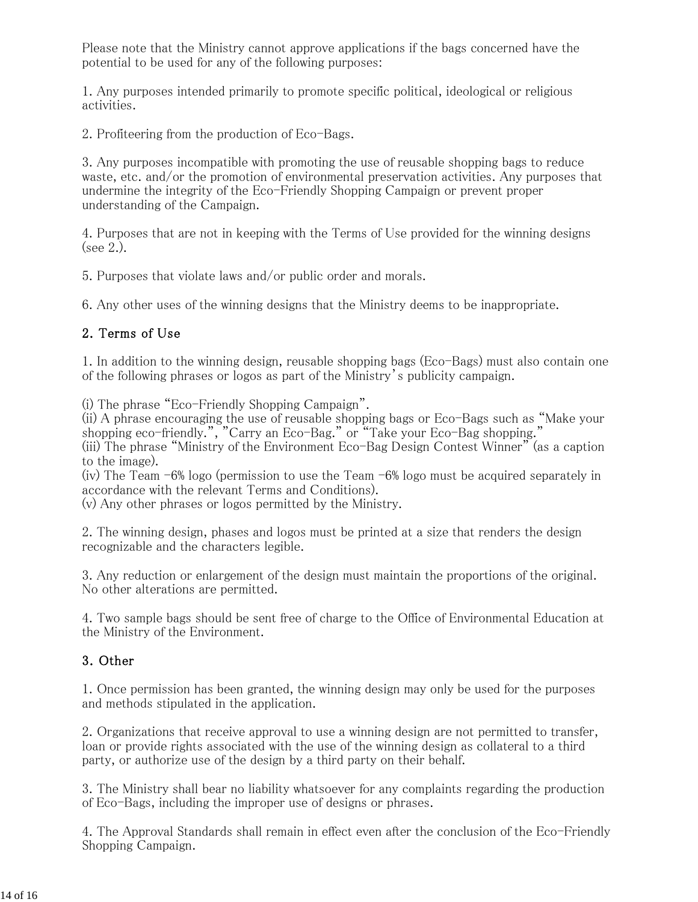Please note that the Ministry cannot approve applications if the bags concerned have the potential to be used for any of the following purposes:

1. Any purposes intended primarily to promote specific political, ideological or religious activities.

2. Profiteering from the production of Eco-Bags.

3. Any purposes incompatible with promoting the use of reusable shopping bags to reduce waste, etc. and/or the promotion of environmental preservation activities. Any purposes that undermine the integrity of the Eco-Friendly Shopping Campaign or prevent proper understanding of the Campaign.

4. Purposes that are not in keeping with the Terms of Use provided for the winning designs (see 2.).

5. Purposes that violate laws and/or public order and morals.

6. Any other uses of the winning designs that the Ministry deems to be inappropriate.

#### 2. Terms of Use

1. In addition to the winning design, reusable shopping bags (Eco-Bags) must also contain one of the following phrases or logos as part of the Ministry's publicity campaign.

(i) The phrase "Eco-Friendly Shopping Campaign".

(ii) A phrase encouraging the use of reusable shopping bags or Eco-Bags such as "Make your shopping eco-friendly.", "Carry an Eco-Bag." or "Take your Eco-Bag shopping."

(iii) The phrase "Ministry of the Environment Eco-Bag Design Contest Winner" (as a caption to the image).

(iv) The Team -6% logo (permission to use the Team -6% logo must be acquired separately in accordance with the relevant Terms and Conditions).

(v) Any other phrases or logos permitted by the Ministry.

2. The winning design, phases and logos must be printed at a size that renders the design recognizable and the characters legible.

3. Any reduction or enlargement of the design must maintain the proportions of the original. No other alterations are permitted.

4. Two sample bags should be sent free of charge to the Office of Environmental Education at the Ministry of the Environment.

#### 3. Other

1. Once permission has been granted, the winning design may only be used for the purposes and methods stipulated in the application.

2. Organizations that receive approval to use a winning design are not permitted to transfer, loan or provide rights associated with the use of the winning design as collateral to a third party, or authorize use of the design by a third party on their behalf.

3. The Ministry shall bear no liability whatsoever for any complaints regarding the production of Eco-Bags, including the improper use of designs or phrases.

4. The Approval Standards shall remain in effect even after the conclusion of the Eco-Friendly Shopping Campaign.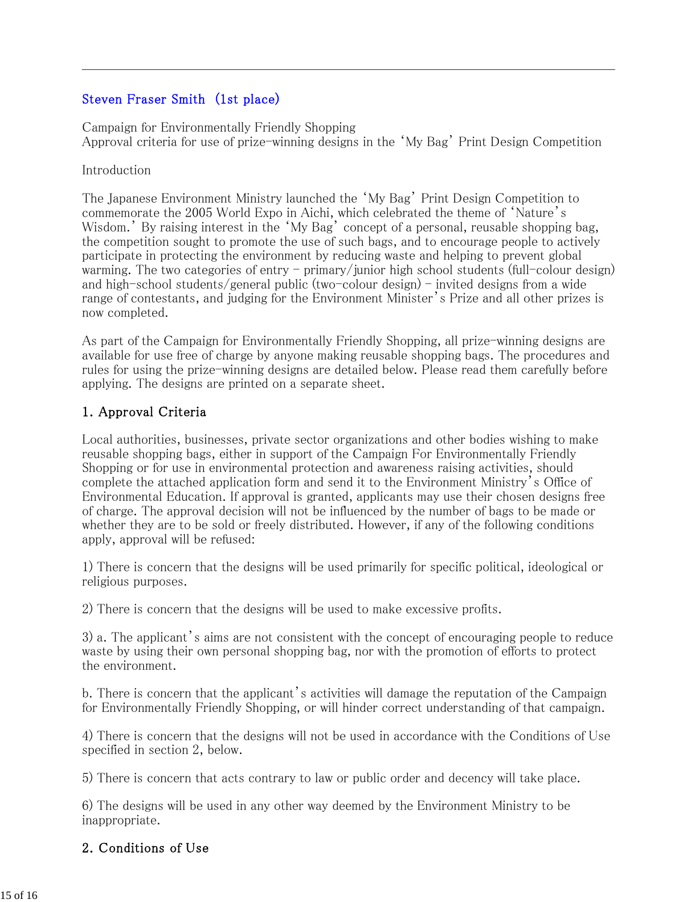### Steven Fraser Smith (1st place)

Campaign for Environmentally Friendly Shopping Approval criteria for use of prize-winning designs in the 'My Bag' Print Design Competition

#### Introduction

The Japanese Environment Ministry launched the 'My Bag' Print Design Competition to commemorate the 2005 World Expo in Aichi, which celebrated the theme of 'Nature's Wisdom.' By raising interest in the 'My Bag' concept of a personal, reusable shopping bag, the competition sought to promote the use of such bags, and to encourage people to actively participate in protecting the environment by reducing waste and helping to prevent global warming. The two categories of entry - primary/junior high school students (full-colour design) and high-school students/general public (two-colour design) - invited designs from a wide range of contestants, and judging for the Environment Minister's Prize and all other prizes is now completed.

As part of the Campaign for Environmentally Friendly Shopping, all prize-winning designs are available for use free of charge by anyone making reusable shopping bags. The procedures and rules for using the prize-winning designs are detailed below. Please read them carefully before applying. The designs are printed on a separate sheet.

### 1. Approval Criteria

Local authorities, businesses, private sector organizations and other bodies wishing to make reusable shopping bags, either in support of the Campaign For Environmentally Friendly Shopping or for use in environmental protection and awareness raising activities, should complete the attached application form and send it to the Environment Ministry's Office of Environmental Education. If approval is granted, applicants may use their chosen designs free of charge. The approval decision will not be influenced by the number of bags to be made or whether they are to be sold or freely distributed. However, if any of the following conditions apply, approval will be refused:

1) There is concern that the designs will be used primarily for specific political, ideological or religious purposes.

2) There is concern that the designs will be used to make excessive profits.

3) a. The applicant's aims are not consistent with the concept of encouraging people to reduce waste by using their own personal shopping bag, nor with the promotion of efforts to protect the environment.

b. There is concern that the applicant's activities will damage the reputation of the Campaign for Environmentally Friendly Shopping, or will hinder correct understanding of that campaign.

4) There is concern that the designs will not be used in accordance with the Conditions of Use specified in section 2, below.

5) There is concern that acts contrary to law or public order and decency will take place.

6) The designs will be used in any other way deemed by the Environment Ministry to be inappropriate.

#### 2. Conditions of Use